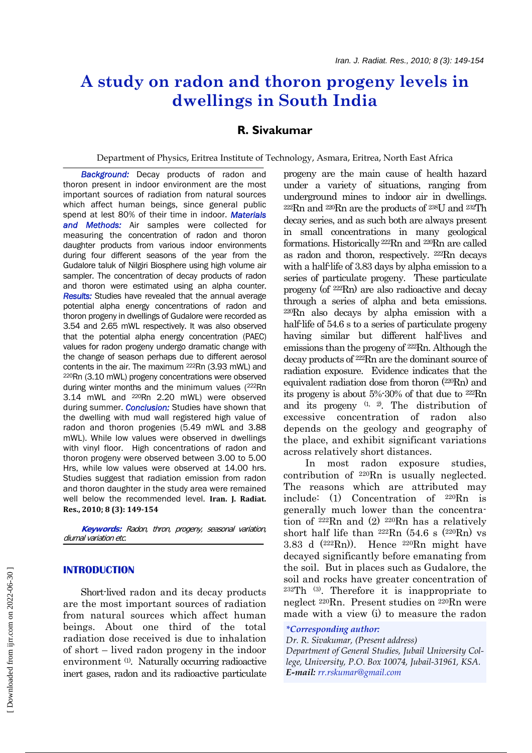# **A study on radon and thoron progeny levels in dwellings in South India**

## **R. Sivakumar**

Department of Physics, Eritrea Institute of Technology, Asmara, Eritrea, North East Africa

 *Background:* Decay products of radon and thoron present in indoor environment are the most important sources of radiation from natural sources which affect human beings, since general public spend at lest 80% of their time in indoor. *Materials and Methods:* Air samples were collected for measuring the concentration of radon and thoron daughter products from various indoor environments during four different seasons of the year from the Gudalore taluk of Nilgiri Biosphere using high volume air sampler. The concentration of decay products of radon and thoron were estimated using an alpha counter. *Results:* Studies have revealed that the annual average potential alpha energy concentrations of radon and thoron progeny in dwellings of Gudalore were recorded as 3.54 and 2.65 mWL respectively. It was also observed that the potential alpha energy concentration (PAEC) values for radon progeny undergo dramatic change with the change of season perhaps due to different aerosol contents in the air. The maximum <sup>222</sup>Rn (3.93 mWL) and 220Rn (3.10 mWL) progeny concentrations were observed during winter months and the minimum values (222Rn) 3.14 mWL and 220Rn 2.20 mWL) were observed during summer. *Conclusion:* Studies have shown that the dwelling with mud wall registered high value of radon and thoron progenies (5.49 mWL and 3.88 mWL). While low values were observed in dwellings with vinyl floor. High concentrations of radon and thoron progeny were observed between 3.00 to 5.00 Hrs, while low values were observed at 14.00 hrs. Studies suggest that radiation emission from radon and thoron daughter in the study area were remained well below the recommended level. **Iran. J. Radiat. Res., 2010; 8 (3): 149154**

 **Keywords:** Radon, thron, progeny, seasonal variation, diurnal variation etc.

### **INTRODUCTION**

 Short-lived radon and its decay products are the most important sources of radiation from natural sources which affect human beings. About one third of the total radiation dose received is due to inhalation of short – lived radon progeny in the indoor environment (1). Naturally occurring radioactive inert gases, radon and its radioactive particulate progeny are the main cause of health hazard under a variety of situations, ranging from underground mines to indoor air in dwellings. 222Rn and 220Rn are the products of 238U and 232Th decay series, and as such both are always present in small concentrations in many geological formations. Historically 222Rn and 220Rn are called as radon and thoron, respectively. 222Rn decays with a half-life of 3.83 days by alpha emission to a series of particulate progeny. These particulate progeny (of 222Rn) are also radioactive and decay through a series of alpha and beta emissions. 220Rn also decays by alpha emission with a half-life of 54.6 s to a series of particulate progeny having similar but different half-lives and emissions than the progeny of 222Rn. Although the decay products of 222Rn are the dominant source of radiation exposure. Evidence indicates that the equivalent radiation dose from thoron (220Rn) and its progeny is about 5%-30% of that due to 222Rn and its progeny  $(1, 2)$ . The distribution of excessive concentration of radon also depends on the geology and geography of the place, and exhibit significant variations across relatively short distances.

 In most radon exposure studies, contribution of 220Rn is usually neglected. The reasons which are attributed may include: (1) Concentration of 220Rn is generally much lower than the concentration of 222Rn and (2) 220Rn has a relatively short half life than  $222Rn$  (54.6 s  $(220Rn)$  vs 3.83 d  $(222Rn)$ . Hence  $220Rn$  might have decayed significantly before emanating from the soil. But in places such as Gudalore, the soil and rocks have greater concentration of  $232Th$  (3). Therefore it is inappropriate to neglect 220Rn. Present studies on 220Rn were made with a view (i) to measure the radon

#### *\*Corresponding author:*

*Dr. R. Sivakumar, (Present address) Department of General Studies, Jubail University College, University, P.O. Box 10074, Jubail-31961, KSA. E-mail: rr.rskumar@gmail.com*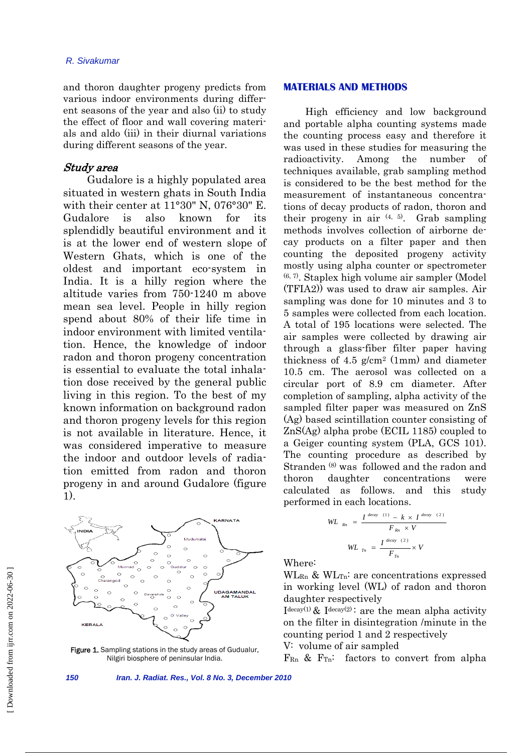#### *R. Sivakumar*

and thoron daughter progeny predicts from various indoor environments during different seasons of the year and also (ii) to study the effect of floor and wall covering materials and aldo (iii) in their diurnal variations during different seasons of the year.

### Study area

 Gudalore is a highly populated area situated in western ghats in South India with their center at 11°30" N, 076°30" E. Gudalore is also known for its splendidly beautiful environment and it is at the lower end of western slope of Western Ghats, which is one of the oldest and important eco-system in India. It is a hilly region where the altitude varies from 750-1240 m above mean sea level. People in hilly region spend about 80% of their life time in indoor environment with limited ventilation. Hence, the knowledge of indoor radon and thoron progeny concentration is essential to evaluate the total inhalation dose received by the general public living in this region. To the best of my known information on background radon and thoron progeny levels for this region is not available in literature. Hence, it was considered imperative to measure the indoor and outdoor levels of radiation emitted from radon and thoron progeny in and around Gudalore (figure 1).



Figure 1. Sampling stations in the study areas of Gudualur, Nilgiri biosphere of peninsular India.

### **MATERIALS AND METHODS**

 High efficiency and low background and portable alpha counting systems made the counting process easy and therefore it was used in these studies for measuring the radioactivity. Among the number of techniques available, grab sampling method is considered to be the best method for the measurement of instantaneous concentrations of decay products of radon, thoron and their progeny in air  $(4, 5)$ . Grab sampling methods involves collection of airborne decay products on a filter paper and then counting the deposited progeny activity mostly using alpha counter or spectrometer  $(6, 7)$ . Staplex high volume air sampler (Model (TFIA2)) was used to draw air samples. Air sampling was done for 10 minutes and 3 to 5 samples were collected from each location. A total of 195 locations were selected. The air samples were collected by drawing air through a glass-fiber filter paper having thickness of 4.5  $g/cm^2$  (1mm) and diameter 10.5 cm. The aerosol was collected on a circular port of 8.9 cm diameter. After completion of sampling, alpha activity of the sampled filter paper was measured on ZnS (Ag) based scintillation counter consisting of ZnS(Ag) alpha probe (ECIL 1185) coupled to a Geiger counting system (PLA, GCS 101). The counting procedure as described by Stranden (8) was followed and the radon and thoron daughter concentrations were calculated as follows. and this study performed in each locations.

$$
WL_{Rn} = \frac{I^{decay (1)} - k \times I^{decay (2)}}{F_{Rn} \times V}
$$

$$
WL_{Tn} = \frac{I^{decay (2)}}{F_{Tn}} \times V
$$

Where:

 $\text{WL}_{\text{Rn}}$  &  $\text{WL}_{\text{Tn}}$ : are concentrations expressed in working level (WL) of radon and thoron daughter respectively

 $I<sup>decay(1)</sup>$  &  $I<sup>decay(2)</sup>$ : are the mean alpha activity on the filter in disintegration /minute in the counting period 1 and 2 respectively

V: volume of air sampled

 $F_{\text{Rn}}$  &  $F_{\text{Tn}}$ : factors to convert from alpha

*150 Iran. J. Radiat. Res., Vol. 8 No. 3, December 2010*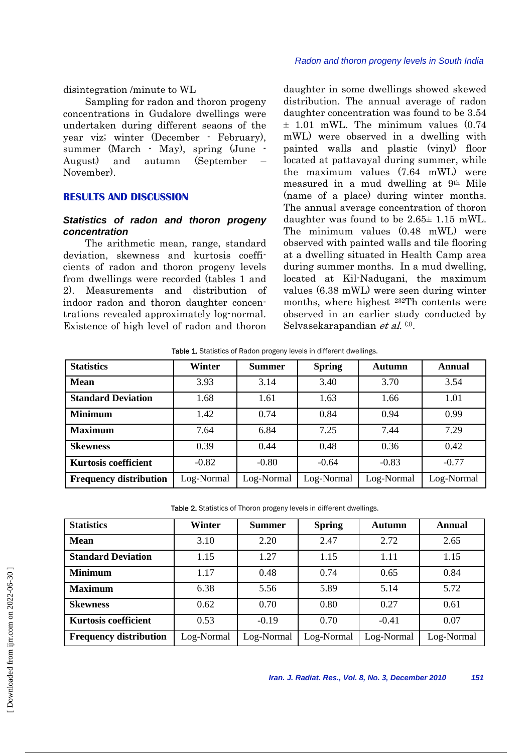#### *Radon and thoron progeny levels in South India*

disintegration /minute to WL

 Sampling for radon and thoron progeny concentrations in Gudalore dwellings were undertaken during different seaons of the year viz; winter (December - February), summer (March - May), spring (June - August) and autumn (September November).

#### **RESULTS AND DISCUSSION**

### *Statistics of radon and thoron progeny concentration*

 The arithmetic mean, range, standard deviation, skewness and kurtosis coefficients of radon and thoron progeny levels from dwellings were recorded (tables 1 and 2). Measurements and distribution of indoor radon and thoron daughter concentrations revealed approximately log-normal. Existence of high level of radon and thoron daughter in some dwellings showed skewed distribution. The annual average of radon daughter concentration was found to be 3.54  $\pm$  1.01 mWL. The minimum values (0.74 mWL) were observed in a dwelling with painted walls and plastic (vinyl) floor located at pattavayal during summer, while the maximum values (7.64 mWL) were measured in a mud dwelling at 9th Mile (name of a place) during winter months. The annual average concentration of thoron daughter was found to be 2.65± 1.15 mWL. The minimum values (0.48 mWL) were observed with painted walls and tile flooring at a dwelling situated in Health Camp area during summer months. In a mud dwelling, located at Kil-Nadugani, the maximum values (6.38 mWL) were seen during winter months, where highest 232Th contents were observed in an earlier study conducted by Selvasekarapandian et al. (3).

| <b>Table 1.</b> Statistics of Radon progeny levels in different dwellings. |  |
|----------------------------------------------------------------------------|--|
|----------------------------------------------------------------------------|--|

| <b>Statistics</b>             | Winter     | <b>Summer</b> | <b>Spring</b> | <b>Autumn</b> | <b>Annual</b> |
|-------------------------------|------------|---------------|---------------|---------------|---------------|
| <b>Mean</b>                   | 3.93       | 3.14          | 3.40          | 3.70          | 3.54          |
| <b>Standard Deviation</b>     | 1.68       | 1.61          | 1.63          | 1.66          | 1.01          |
| <b>Minimum</b>                | 1.42       | 0.74          | 0.84          | 0.94          | 0.99          |
| <b>Maximum</b>                | 7.64       | 6.84          | 7.25          | 7.44          | 7.29          |
| <b>Skewness</b>               | 0.39       | 0.44          | 0.48          | 0.36          | 0.42          |
| <b>Kurtosis coefficient</b>   | $-0.82$    | $-0.80$       | $-0.64$       | $-0.83$       | $-0.77$       |
| <b>Frequency distribution</b> | Log-Normal | Log-Normal    | Log-Normal    | Log-Normal    | Log-Normal    |

| Table 2. Statistics of Thoron progeny levels in different dwellings. |  |  |
|----------------------------------------------------------------------|--|--|
|----------------------------------------------------------------------|--|--|

| <b>Statistics</b>             | Winter     | <b>Summer</b> | <b>Spring</b> | <b>Autumn</b> | <b>Annual</b> |
|-------------------------------|------------|---------------|---------------|---------------|---------------|
| <b>Mean</b>                   | 3.10       | 2.20          | 2.47          | 2.72          | 2.65          |
| <b>Standard Deviation</b>     | 1.15       | 1.27          | 1.15          | 1.11          | 1.15          |
| <b>Minimum</b>                | 1.17       | 0.48          | 0.74          | 0.65          | 0.84          |
| <b>Maximum</b>                | 6.38       | 5.56          | 5.89          | 5.14          | 5.72          |
| <b>Skewness</b>               | 0.62       | 0.70          | 0.80          | 0.27          | 0.61          |
| <b>Kurtosis coefficient</b>   | 0.53       | $-0.19$       | 0.70          | $-0.41$       | 0.07          |
| <b>Frequency distribution</b> | Log-Normal | Log-Normal    | Log-Normal    | Log-Normal    | Log-Normal    |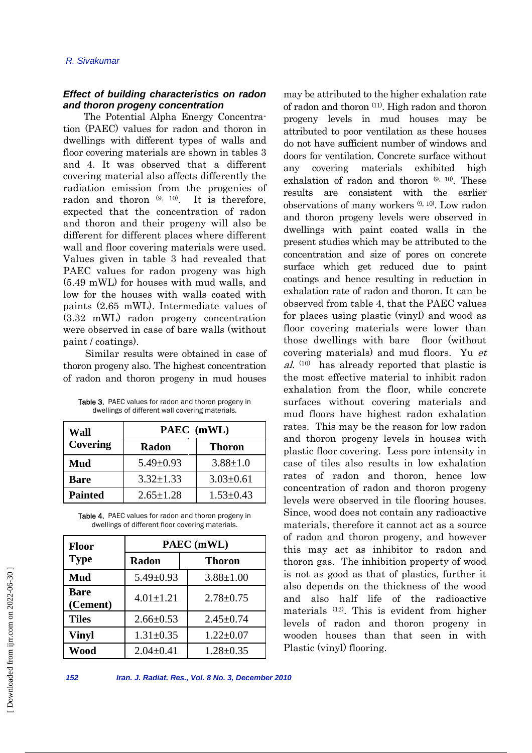## *Effect of building characteristics on radon and thoron progeny concentration*

 The Potential Alpha Energy Concentration (PAEC) values for radon and thoron in dwellings with different types of walls and floor covering materials are shown in tables 3 and 4. It was observed that a different covering material also affects differently the radiation emission from the progenies of radon and thoron  $(9, 10)$ . It is therefore, expected that the concentration of radon and thoron and their progeny will also be different for different places where different wall and floor covering materials were used. Values given in table 3 had revealed that PAEC values for radon progeny was high (5.49 mWL) for houses with mud walls, and low for the houses with walls coated with paints (2.65 mWL). Intermediate values of (3.32 mWL) radon progeny concentration were observed in case of bare walls (without paint / coatings).

 Similar results were obtained in case of thoron progeny also. The highest concentration of radon and thoron progeny in mud houses

| Table 3. PAEC values for radon and thoron progeny in |
|------------------------------------------------------|
| dwellings of different wall covering materials.      |

| Wall           | PAEC (mWL)      |                 |  |
|----------------|-----------------|-----------------|--|
| Covering       | Radon           | <b>Thoron</b>   |  |
| Mud            | $5.49 \pm 0.93$ | $3.88 \pm 1.0$  |  |
| Bare           | $3.32 \pm 1.33$ | $3.03 \pm 0.61$ |  |
| <b>Painted</b> | $2.65 \pm 1.28$ | $1.53 \pm 0.43$ |  |

Table 4. PAEC values for radon and thoron progeny in dwellings of different floor covering materials.

| Floor                   | PAEC (mWL)      |                 |  |
|-------------------------|-----------------|-----------------|--|
| <b>Type</b>             | <b>Radon</b>    | Thoron          |  |
| Mud                     | $5.49 \pm 0.93$ | $3.88 \pm 1.00$ |  |
| <b>Bare</b><br>(Cement) | $4.01 \pm 1.21$ | $2.78 \pm 0.75$ |  |
| <b>Tiles</b>            | $2.66 \pm 0.53$ | $2.45 \pm 0.74$ |  |
| <b>Vinyl</b>            | $1.31 \pm 0.35$ | $1.22 \pm 0.07$ |  |
| Wood                    | $2.04 \pm 0.41$ | $1.28 \pm 0.35$ |  |

may be attributed to the higher exhalation rate of radon and thoron (11). High radon and thoron progeny levels in mud houses may be attributed to poor ventilation as these houses do not have sufficient number of windows and doors for ventilation. Concrete surface without any covering materials exhibited high exhalation of radon and thoron  $(9, 10)$ . These results are consistent with the earlier observations of many workers (9, 10). Low radon and thoron progeny levels were observed in dwellings with paint coated walls in the present studies which may be attributed to the concentration and size of pores on concrete surface which get reduced due to paint coatings and hence resulting in reduction in exhalation rate of radon and thoron. It can be observed from table 4, that the PAEC values for places using plastic (vinyl) and wood as floor covering materials were lower than those dwellings with bare floor (without covering materials) and mud floors. Yu et  $al.$  (10) has already reported that plastic is the most effective material to inhibit radon exhalation from the floor, while concrete surfaces without covering materials and mud floors have highest radon exhalation rates. This may be the reason for low radon and thoron progeny levels in houses with plastic floor covering. Less pore intensity in case of tiles also results in low exhalation rates of radon and thoron, hence low concentration of radon and thoron progeny levels were observed in tile flooring houses. Since, wood does not contain any radioactive materials, therefore it cannot act as a source of radon and thoron progeny, and however this may act as inhibitor to radon and thoron gas. The inhibition property of wood is not as good as that of plastics, further it also depends on the thickness of the wood and also half life of the radioactive materials (12). This is evident from higher levels of radon and thoron progeny in wooden houses than that seen in with Plastic (vinyl) flooring.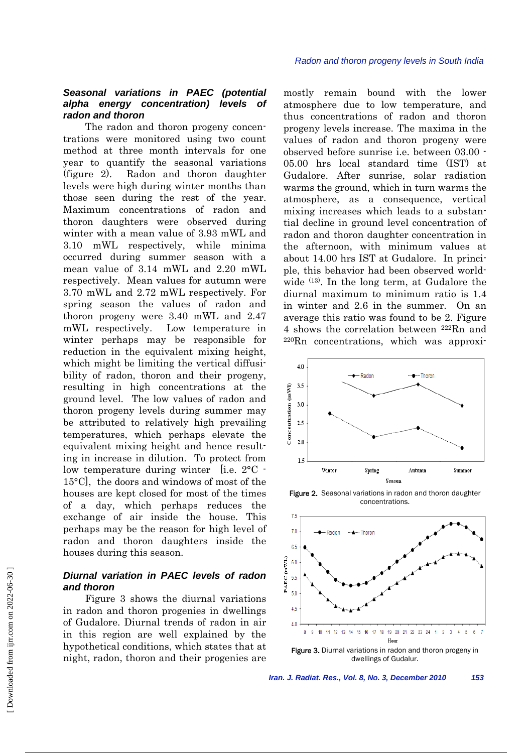## *Seasonal variations in PAEC (potential alpha energy concentration) levels of radon and thoron*

 The radon and thoron progeny concentrations were monitored using two count method at three month intervals for one year to quantify the seasonal variations (figure 2). Radon and thoron daughter levels were high during winter months than those seen during the rest of the year. Maximum concentrations of radon and thoron daughters were observed during winter with a mean value of 3.93 mWL and 3.10 mWL respectively, while minima occurred during summer season with a mean value of 3.14 mWL and 2.20 mWL respectively. Mean values for autumn were 3.70 mWL and 2.72 mWL respectively. For spring season the values of radon and thoron progeny were 3.40 mWL and 2.47 mWL respectively. Low temperature in winter perhaps may be responsible for reduction in the equivalent mixing height, which might be limiting the vertical diffusibility of radon, thoron and their progeny, resulting in high concentrations at the ground level. The low values of radon and thoron progeny levels during summer may be attributed to relatively high prevailing temperatures, which perhaps elevate the equivalent mixing height and hence resulting in increase in dilution. To protect from low temperature during winter [i.e. 2°C - 15°C], the doors and windows of most of the houses are kept closed for most of the times of a day, which perhaps reduces the exchange of air inside the house. This perhaps may be the reason for high level of radon and thoron daughters inside the houses during this season.

### *Diurnal variation in PAEC levels of radon and thoron*

 Figure 3 shows the diurnal variations in radon and thoron progenies in dwellings of Gudalore. Diurnal trends of radon in air in this region are well explained by the hypothetical conditions, which states that at night, radon, thoron and their progenies are

mostly remain bound with the lower atmosphere due to low temperature, and thus concentrations of radon and thoron progeny levels increase. The maxima in the values of radon and thoron progeny were observed before sunrise i.e. between 03.00 - 05.00 hrs local standard time (IST) at Gudalore. After sunrise, solar radiation warms the ground, which in turn warms the atmosphere, as a consequence, vertical mixing increases which leads to a substantial decline in ground level concentration of radon and thoron daughter concentration in the afternoon, with minimum values at about 14.00 hrs IST at Gudalore. In principle, this behavior had been observed worldwide (13). In the long term, at Gudalore the diurnal maximum to minimum ratio is 1.4 in winter and 2.6 in the summer. On an average this ratio was found to be 2. Figure 4 shows the correlation between 222Rn and 220Rn concentrations, which was approxi-



Figure 2. Seasonal variations in radon and thoron daughter concentrations.



Figure 3. Diurnal variations in radon and thoron progeny in dwellings of Gudalur.